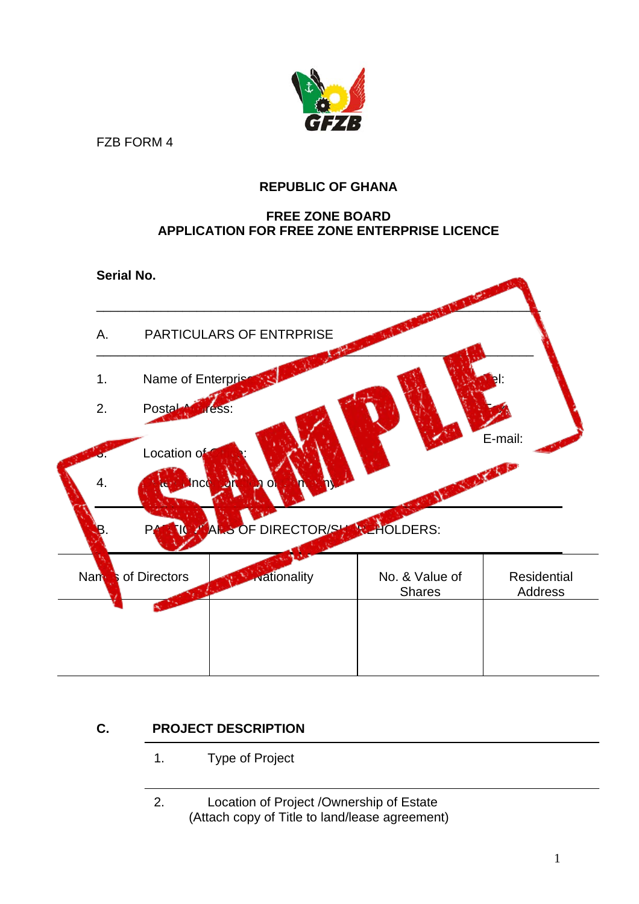

FZB FORM 4

## **REPUBLIC OF GHANA**

#### **FREE ZONE BOARD APPLICATION FOR FREE ZONE ENTERPRISE LICENCE**



# **C. PROJECT DESCRIPTION**

## 1. Type of Project

2. Location of Project /Ownership of Estate (Attach copy of Title to land/lease agreement)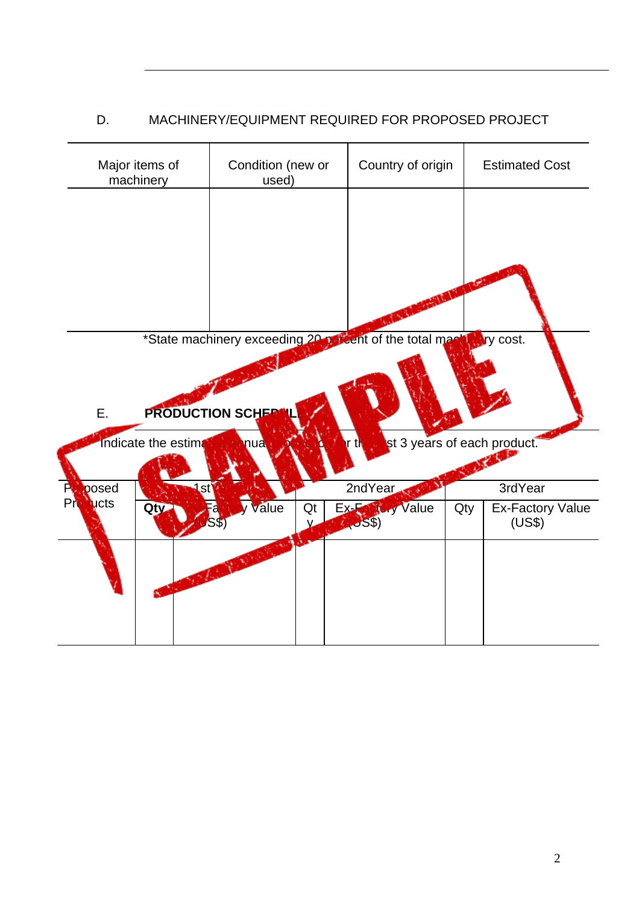# D. MACHINERY/EQUIPMENT REQUIRED FOR PROPOSED PROJECT

| Major items of<br>machinery     |               | Condition (new or<br>used) |          | Country of origin                                          |     | <b>Estimated Cost</b>             |
|---------------------------------|---------------|----------------------------|----------|------------------------------------------------------------|-----|-----------------------------------|
|                                 |               |                            |          |                                                            |     |                                   |
| Ε.                              |               | <b>PRODUCTION SCHEP</b>    |          | *State machinery exceeding 20 parcent of the total machine |     | <b>Ary cost.</b>                  |
| Indicate the estima             |               | nua                        |          | t,                                                         |     | st 3 years of each product.       |
|                                 | posed<br>1st' |                            |          |                                                            |     |                                   |
|                                 |               |                            |          | 2ndYear                                                    |     | 3rdYear                           |
| P<br>Pro<br><b>Lucts</b><br>Qty |               | Value<br>S\$.              | Qt<br>V. | Ex-Factory Value                                           | Qty | <b>Ex-Factory Value</b><br>(US\$) |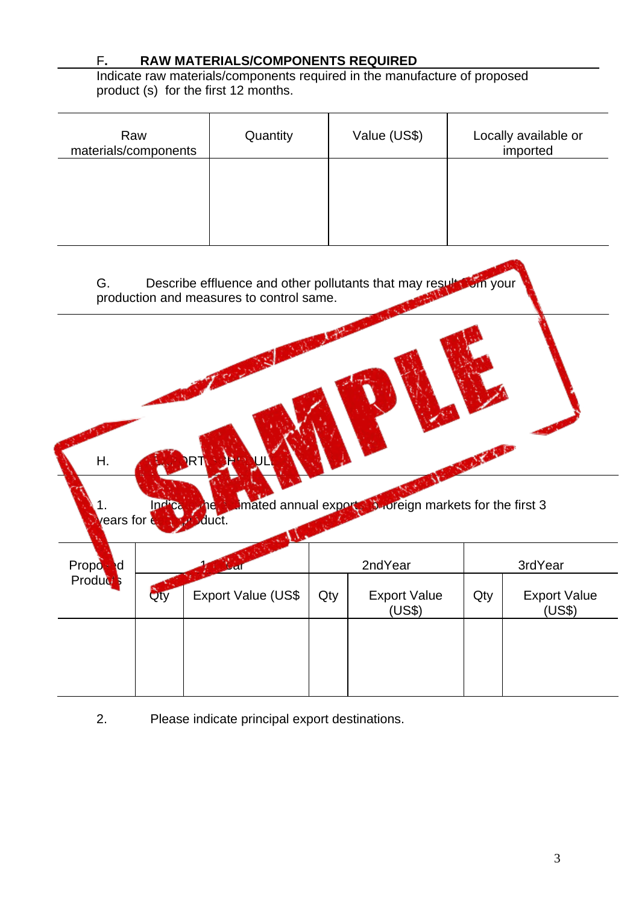### F**. RAW MATERIALS/COMPONENTS REQUIRED**

Indicate raw materials/components required in the manufacture of proposed product (s) for the first 12 months.

| Raw<br>materials/components | Quantity | Value (US\$) | Locally available or<br>imported |
|-----------------------------|----------|--------------|----------------------------------|
|                             |          |              |                                  |
|                             |          |              |                                  |
|                             |          |              |                                  |



Indicate the estimated annual exports to foreign markets for the first 3  $\gamma$ ears for  $\epsilon$  and  $\gamma$  of  $\gamma$  duct.

| Propo<br><b>I</b> d<br>Product <sup>s</sup> |     |                    |     | 2ndYear                       | 3rdYear |                               |  |
|---------------------------------------------|-----|--------------------|-----|-------------------------------|---------|-------------------------------|--|
|                                             | Qty | Export Value (US\$ | Qty | <b>Export Value</b><br>(US\$) | Qty     | <b>Export Value</b><br>(US\$) |  |
|                                             |     |                    |     |                               |         |                               |  |
|                                             |     |                    |     |                               |         |                               |  |
|                                             |     |                    |     |                               |         |                               |  |

2. Please indicate principal export destinations.

H. **EXPORT SCHEDULE**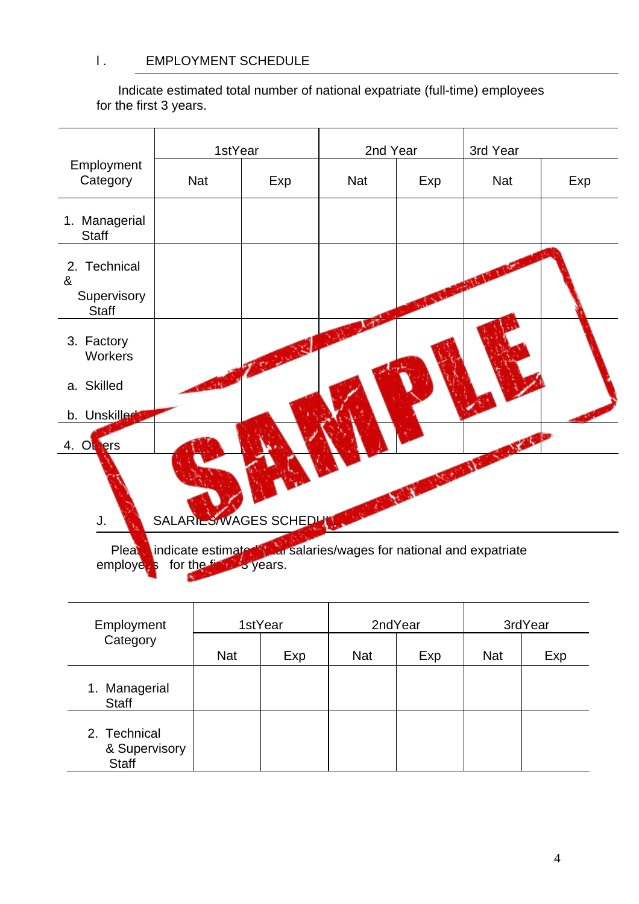### l . EMPLOYMENT SCHEDULE

 Indicate estimated total number of national expatriate (full-time) employees for the first 3 years.



| Employment                                    | 1stYear    |     | 2ndYear    |     | 3rdYear    |     |
|-----------------------------------------------|------------|-----|------------|-----|------------|-----|
| Category                                      | <b>Nat</b> | Exp | <b>Nat</b> | Exp | <b>Nat</b> | Exp |
| 1. Managerial<br><b>Staff</b>                 |            |     |            |     |            |     |
| 2. Technical<br>& Supervisory<br><b>Staff</b> |            |     |            |     |            |     |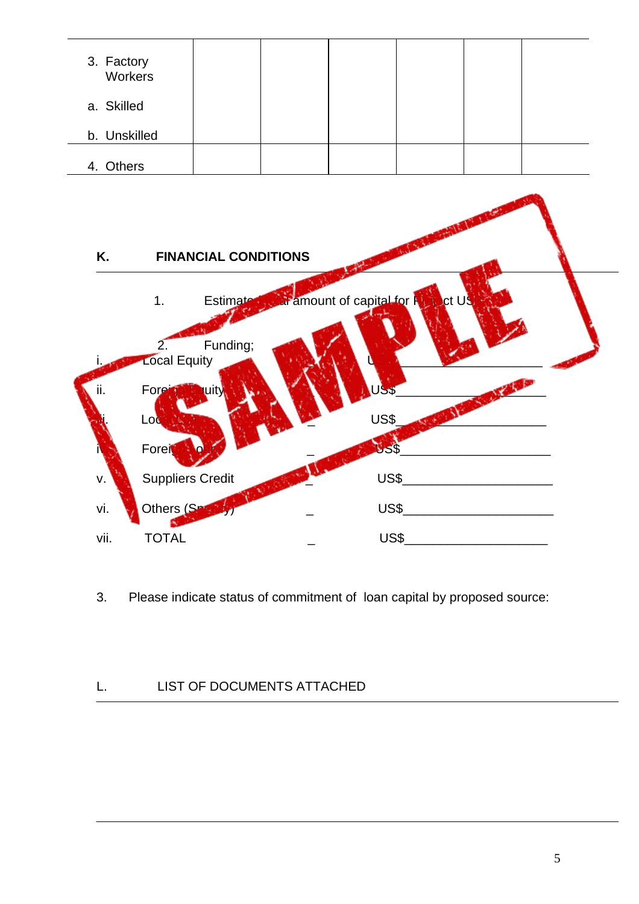| 3. Factory<br>Workers |  |  |  |
|-----------------------|--|--|--|
| a. Skilled            |  |  |  |
| b. Unskilled          |  |  |  |
| 4. Others             |  |  |  |



3. Please indicate status of commitment of loan capital by proposed source:

# L. LIST OF DOCUMENTS ATTACHED